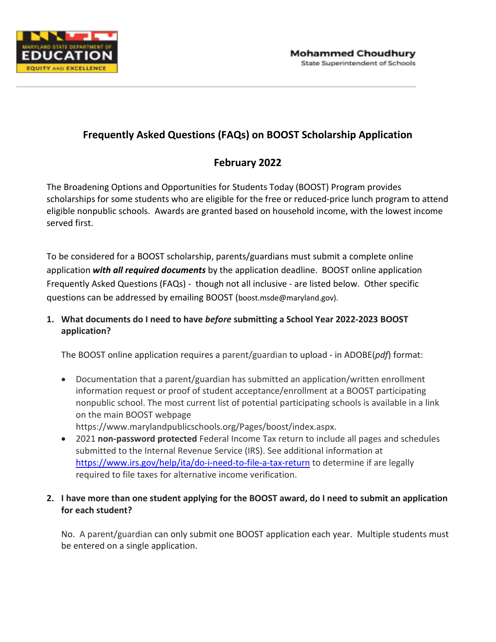

## **Frequently Asked Questions (FAQs) on BOOST Scholarship Application**

# **February 2022**

The Broadening Options and Opportunities for Students Today (BOOST) Program provides scholarships for some students who are eligible for the free or reduced-price lunch program to attend eligible nonpublic schools. Awards are granted based on household income, with the lowest income served first.

To be considered for a BOOST scholarship, parents/guardians must submit a complete online application *with all required documents* by the application deadline. BOOST online application Frequently Asked Questions (FAQs) - though not all inclusive - are listed below. Other specific questions can be addressed by emailing BOOST (boost.msde@maryland.gov).

## **1. What documents do I need to have** *before* **submitting a School Year 2022-2023 BOOST application?**

The BOOST online application requires a parent/guardian to upload - in ADOBE(*pdf*) format:

- Documentation that a parent/guardian has submitted an application/written enrollment information request or proof of student acceptance/enrollment at a BOOST participating nonpublic school. The most current list of potential participating schools is available in a link on the main BOOST webpage
	- https://www.marylandpublicschools.org/Pages/boost/index.aspx.
- 2021 **non-password protected** Federal Income Tax return to include all pages and schedules submitted to the Internal Revenue Service (IRS). See additional information at <https://www.irs.gov/help/ita/do-i-need-to-file-a-tax-return> to determine if are legally required to file taxes for alternative income verification.

## **2. I have more than one student applying for the BOOST award, do I need to submit an application for each student?**

No. A parent/guardian can only submit one BOOST application each year. Multiple students must be entered on a single application.